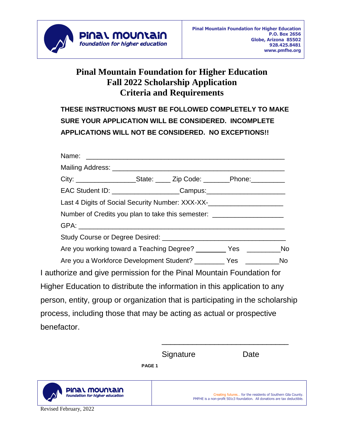

## **Pinal Mountain Foundation for Higher Education Fall 2022 Scholarship Application Criteria and Requirements**

**THESE INSTRUCTIONS MUST BE FOLLOWED COMPLETELY TO MAKE SURE YOUR APPLICATION WILL BE CONSIDERED. INCOMPLETE APPLICATIONS WILL NOT BE CONSIDERED. NO EXCEPTIONS!!**

|                                                                                | City: ____________________State: _____ Zip Code: ________Phone: __________       |  |  |  |  |
|--------------------------------------------------------------------------------|----------------------------------------------------------------------------------|--|--|--|--|
|                                                                                | EAC Student ID: _______________________Campus:__________________________________ |  |  |  |  |
|                                                                                |                                                                                  |  |  |  |  |
|                                                                                | Number of Credits you plan to take this semester: ______________________________ |  |  |  |  |
|                                                                                |                                                                                  |  |  |  |  |
|                                                                                |                                                                                  |  |  |  |  |
|                                                                                | Are you working toward a Teaching Degree? __________ Yes _______________No       |  |  |  |  |
|                                                                                | Are you a Workforce Development Student? __________ Yes _______________No        |  |  |  |  |
| I authorize and give permission for the Pinal Mountain Foundation for          |                                                                                  |  |  |  |  |
| Higher Education to distribute the information in this application to any      |                                                                                  |  |  |  |  |
| person, entity, group or organization that is participating in the scholarship |                                                                                  |  |  |  |  |
| process, including those that may be acting as actual or prospective           |                                                                                  |  |  |  |  |
| benefactor.                                                                    |                                                                                  |  |  |  |  |

Signature Date

\_\_\_\_\_\_\_\_\_\_\_\_\_\_\_\_\_\_\_\_\_\_\_\_\_\_\_\_\_

**PAGE 1**



Creating futures… for the residents of Southern Gila County. PMFHE is a non-profit 501c3 foundation. All donations are tax deductible.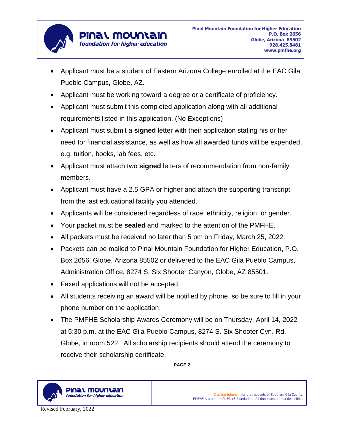

- Applicant must be a student of Eastern Arizona College enrolled at the EAC Gila Pueblo Campus, Globe, AZ.
- Applicant must be working toward a degree or a certificate of proficiency.
- Applicant must submit this completed application along with all additional requirements listed in this application. (No Exceptions)
- Applicant must submit a **signed** letter with their application stating his or her need for financial assistance, as well as how all awarded funds will be expended, e.g. tuition, books, lab fees, etc.
- Applicant must attach two **signed** letters of recommendation from non-family members.
- Applicant must have a 2.5 GPA or higher and attach the supporting transcript from the last educational facility you attended.
- Applicants will be considered regardless of race, ethnicity, religion, or gender.
- Your packet must be **sealed** and marked to the attention of the PMFHE.
- All packets must be received no later than 5 pm on Friday, March 25, 2022.
- Packets can be mailed to Pinal Mountain Foundation for Higher Education, P.O. Box 2656, Globe, Arizona 85502 or delivered to the EAC Gila Pueblo Campus, Administration Office, 8274 S. Six Shooter Canyon, Globe, AZ 85501.
- Faxed applications will not be accepted.
- All students receiving an award will be notified by phone, so be sure to fill in your phone number on the application.
- The PMFHE Scholarship Awards Ceremony will be on Thursday, April 14, 2022 at 5:30 p.m. at the EAC Gila Pueblo Campus, 8274 S. Six Shooter Cyn. Rd. – Globe, in room 522. All scholarship recipients should attend the ceremony to receive their scholarship certificate.

**PAGE 2**



Creating futures… for the residents of Southern Gila County. PMFHE is a non-profit 501c3 foundation. All donations are tax deductible.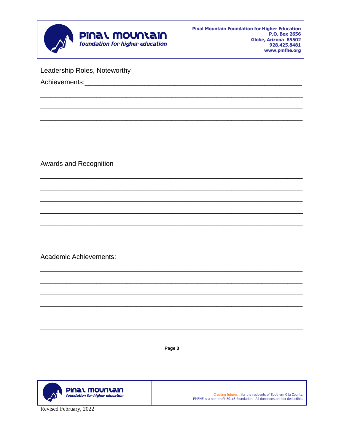

Leadership Roles, Noteworthy

Achievements:

Awards and Recognition

**Academic Achievements:** 

Page 3



Creating futures... for the residents of Southern Gila County. PMFHE is a non-profit 501c3 foundation. All donations are tax deductible.